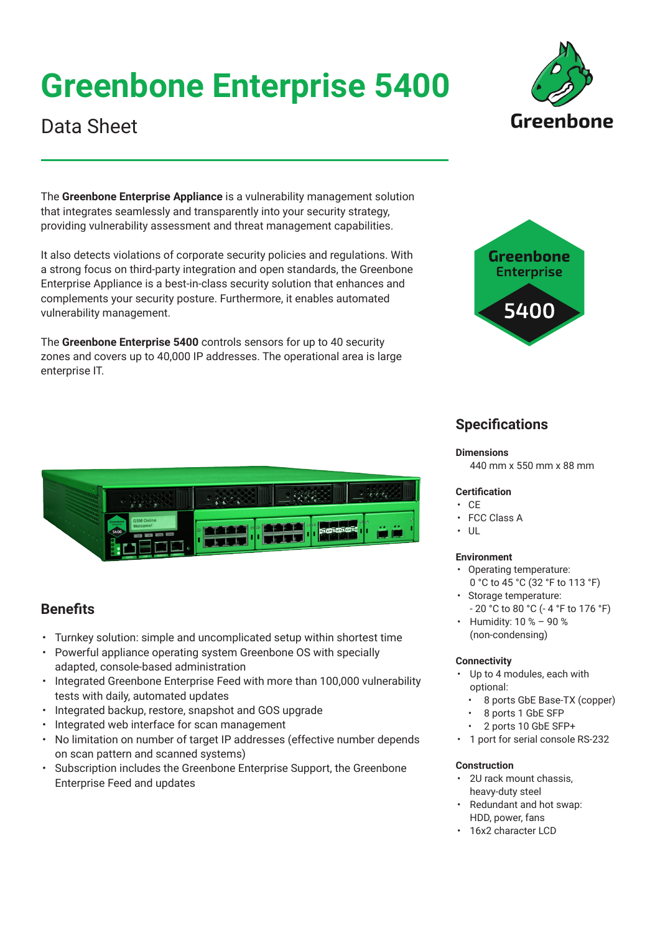# **Greenbone Enterprise 5400**

## Data Sheet

The **Greenbone Enterprise Appliance** is a vulnerability management solution that integrates seamlessly and transparently into your security strategy, providing vulnerability assessment and threat management capabilities.

It also detects violations of corporate security policies and regulations. With a strong focus on third-party integration and open standards, the Greenbone Enterprise Appliance is a best-in-class security solution that enhances and complements your security posture. Furthermore, it enables automated vulnerability management.

The **Greenbone Enterprise 5400** controls sensors for up to 40 security zones and covers up to 40,000 IP addresses. The operational area is large enterprise IT.



### **Specifications**

#### **Dimensions**

440 mm x 550 mm x 88 mm

### **Certification**

- CE
- FCC Class A
- $\cdot$  UL

### **Environment**

- Operating temperature: 0 °C to 45 °C (32 °F to 113 °F)
- Storage temperature: - 20 °C to 80 °C (- 4 °F to 176 °F)
- Humidity: 10 % 90 % (non-condensing)

### **Connectivity**

- Up to 4 modules, each with optional:
	- 8 ports GbE Base-TX (copper)
	- 8 ports 1 GbE SFP
	- 2 ports 10 GbE SFP+
- 1 port for serial console RS-232

### **Construction**

- 2U rack mount chassis, heavy-duty steel
- Redundant and hot swap: HDD, power, fans
- 16x2 character LCD



### **Benefits**

- Turnkey solution: simple and uncomplicated setup within shortest time
- Powerful appliance operating system Greenbone OS with specially adapted, console-based administration
- Integrated Greenbone Enterprise Feed with more than 100,000 vulnerability tests with daily, automated updates
- Integrated backup, restore, snapshot and GOS upgrade
- Integrated web interface for scan management
- No limitation on number of target IP addresses (effective number depends on scan pattern and scanned systems)
- Subscription includes the Greenbone Enterprise Support, the Greenbone Enterprise Feed and updates

Greenhone